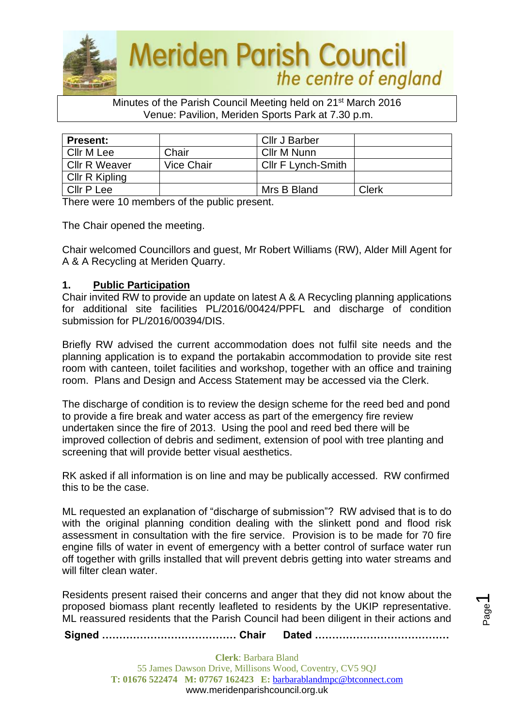

### Minutes of the Parish Council Meeting held on 21st March 2016 Venue: Pavilion, Meriden Sports Park at 7.30 p.m.

| <b>Present:</b>      |            | Cllr J Barber      |       |
|----------------------|------------|--------------------|-------|
| Cllr M Lee           | Chair      | Cllr M Nunn        |       |
| <b>CIIr R Weaver</b> | Vice Chair | Cllr F Lynch-Smith |       |
| Cllr R Kipling       |            |                    |       |
| Cllr P Lee           |            | Mrs B Bland        | Clerk |

There were 10 members of the public present.

The Chair opened the meeting.

Chair welcomed Councillors and guest, Mr Robert Williams (RW), Alder Mill Agent for A & A Recycling at Meriden Quarry.

## **1. Public Participation**

Chair invited RW to provide an update on latest A & A Recycling planning applications for additional site facilities PL/2016/00424/PPFL and discharge of condition submission for PL/2016/00394/DIS.

Briefly RW advised the current accommodation does not fulfil site needs and the planning application is to expand the portakabin accommodation to provide site rest room with canteen, toilet facilities and workshop, together with an office and training room. Plans and Design and Access Statement may be accessed via the Clerk.

The discharge of condition is to review the design scheme for the reed bed and pond to provide a fire break and water access as part of the emergency fire review undertaken since the fire of 2013. Using the pool and reed bed there will be improved collection of debris and sediment, extension of pool with tree planting and screening that will provide better visual aesthetics.

RK asked if all information is on line and may be publically accessed. RW confirmed this to be the case.

ML requested an explanation of "discharge of submission"? RW advised that is to do with the original planning condition dealing with the slinkett pond and flood risk assessment in consultation with the fire service. Provision is to be made for 70 fire engine fills of water in event of emergency with a better control of surface water run off together with grills installed that will prevent debris getting into water streams and will filter clean water.

Residents present raised their concerns and anger that they did not know about the proposed biomass plant recently leafleted to residents by the UKIP representative. ML reassured residents that the Parish Council had been diligent in their actions and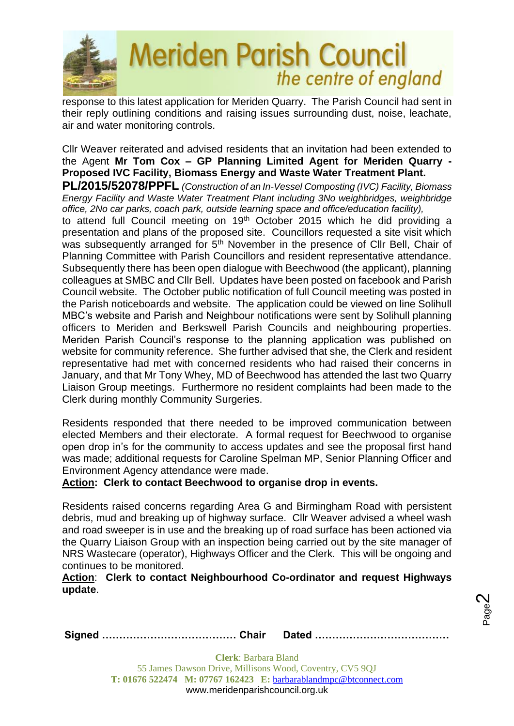

response to this latest application for Meriden Quarry. The Parish Council had sent in their reply outlining conditions and raising issues surrounding dust, noise, leachate, air and water monitoring controls.

Cllr Weaver reiterated and advised residents that an invitation had been extended to the Agent **Mr Tom Cox – GP Planning Limited Agent for Meriden Quarry - Proposed IVC Facility, Biomass Energy and Waste Water Treatment Plant.**

**PL/2015/52078/PPFL** *(Construction of an In-Vessel Composting (IVC) Facility, Biomass Energy Facility and Waste Water Treatment Plant including 3No weighbridges, weighbridge office, 2No car parks, coach park, outside learning space and office/education facility),*

to attend full Council meeting on 19<sup>th</sup> October 2015 which he did providing a presentation and plans of the proposed site. Councillors requested a site visit which was subsequently arranged for 5<sup>th</sup> November in the presence of Cllr Bell, Chair of Planning Committee with Parish Councillors and resident representative attendance. Subsequently there has been open dialogue with Beechwood (the applicant), planning colleagues at SMBC and Cllr Bell. Updates have been posted on facebook and Parish Council website. The October public notification of full Council meeting was posted in the Parish noticeboards and website. The application could be viewed on line Solihull MBC's website and Parish and Neighbour notifications were sent by Solihull planning officers to Meriden and Berkswell Parish Councils and neighbouring properties. Meriden Parish Council's response to the planning application was published on website for community reference. She further advised that she, the Clerk and resident representative had met with concerned residents who had raised their concerns in January, and that Mr Tony Whey, MD of Beechwood has attended the last two Quarry Liaison Group meetings. Furthermore no resident complaints had been made to the Clerk during monthly Community Surgeries.

Residents responded that there needed to be improved communication between elected Members and their electorate. A formal request for Beechwood to organise open drop in's for the community to access updates and see the proposal first hand was made; additional requests for Caroline Spelman MP, Senior Planning Officer and Environment Agency attendance were made.

**Action: Clerk to contact Beechwood to organise drop in events.** 

Residents raised concerns regarding Area G and Birmingham Road with persistent debris, mud and breaking up of highway surface. Cllr Weaver advised a wheel wash and road sweeper is in use and the breaking up of road surface has been actioned via the Quarry Liaison Group with an inspection being carried out by the site manager of NRS Wastecare (operator), Highways Officer and the Clerk. This will be ongoing and continues to be monitored.

## **Action**: **Clerk to contact Neighbourhood Co-ordinator and request Highways update**.

**Signed ………………………………… Chair Dated …………………………………**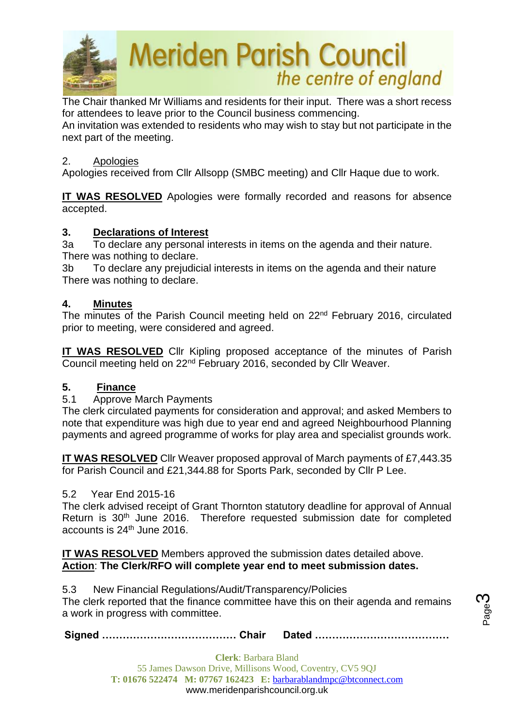

The Chair thanked Mr Williams and residents for their input. There was a short recess for attendees to leave prior to the Council business commencing. An invitation was extended to residents who may wish to stay but not participate in the next part of the meeting.

## 2. Apologies

Apologies received from Cllr Allsopp (SMBC meeting) and Cllr Haque due to work.

**IT WAS RESOLVED** Apologies were formally recorded and reasons for absence accepted.

## **3. Declarations of Interest**

3a To declare any personal interests in items on the agenda and their nature. There was nothing to declare.

3b To declare any prejudicial interests in items on the agenda and their nature There was nothing to declare.

## **4. Minutes**

The minutes of the Parish Council meeting held on 22<sup>nd</sup> February 2016, circulated prior to meeting, were considered and agreed.

**IT WAS RESOLVED** Cllr Kipling proposed acceptance of the minutes of Parish Council meeting held on 22nd February 2016, seconded by Cllr Weaver.

## **5. Finance**

#### 5.1 Approve March Payments

The clerk circulated payments for consideration and approval; and asked Members to note that expenditure was high due to year end and agreed Neighbourhood Planning payments and agreed programme of works for play area and specialist grounds work.

**IT WAS RESOLVED** Cllr Weaver proposed approval of March payments of £7,443.35 for Parish Council and £21,344.88 for Sports Park, seconded by Cllr P Lee.

## 5.2 Year End 2015-16

The clerk advised receipt of Grant Thornton statutory deadline for approval of Annual Return is 30<sup>th</sup> June 2016. Therefore requested submission date for completed accounts is 24th June 2016.

**IT WAS RESOLVED** Members approved the submission dates detailed above. **Action**: **The Clerk/RFO will complete year end to meet submission dates.**

5.3 New Financial Regulations/Audit/Transparency/Policies The clerk reported that the finance committee have this on their agenda and remains a work in progress with committee.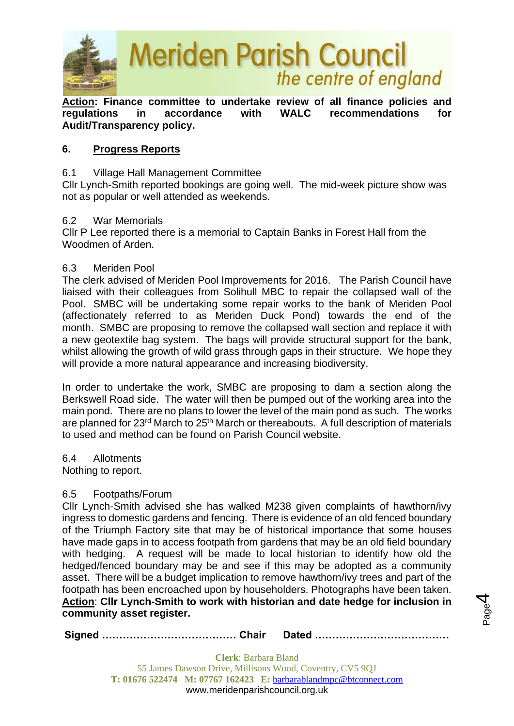

**Action: Finance committee to undertake review of all finance policies and regulations in accordance with WALC recommendations for Audit/Transparency policy.**

## **6. Progress Reports**

## 6.1 Village Hall Management Committee

Cllr Lynch-Smith reported bookings are going well. The mid-week picture show was not as popular or well attended as weekends.

### 6.2 War Memorials

Cllr P Lee reported there is a memorial to Captain Banks in Forest Hall from the Woodmen of Arden.

### 6.3 Meriden Pool

The clerk advised of Meriden Pool Improvements for 2016. The Parish Council have liaised with their colleagues from Solihull MBC to repair the collapsed wall of the Pool. SMBC will be undertaking some repair works to the bank of Meriden Pool (affectionately referred to as Meriden Duck Pond) towards the end of the month. SMBC are proposing to remove the collapsed wall section and replace it with a new geotextile bag system. The bags will provide structural support for the bank, whilst allowing the growth of wild grass through gaps in their structure. We hope they will provide a more natural appearance and increasing biodiversity.

In order to undertake the work, SMBC are proposing to dam a section along the Berkswell Road side. The water will then be pumped out of the working area into the main pond. There are no plans to lower the level of the main pond as such. The works are planned for 23rd March to 25th March or thereabouts. A full description of materials to used and method can be found on Parish Council website.

6.4 Allotments

Nothing to report.

## 6.5 Footpaths/Forum

Cllr Lynch-Smith advised she has walked M238 given complaints of hawthorn/ivy ingress to domestic gardens and fencing. There is evidence of an old fenced boundary of the Triumph Factory site that may be of historical importance that some houses have made gaps in to access footpath from gardens that may be an old field boundary with hedging. A request will be made to local historian to identify how old the hedged/fenced boundary may be and see if this may be adopted as a community asset. There will be a budget implication to remove hawthorn/ivy trees and part of the footpath has been encroached upon by householders. Photographs have been taken. **Action**: **Cllr Lynch-Smith to work with historian and date hedge for inclusion in community asset register.**

**Signed ………………………………… Chair Dated …………………………………**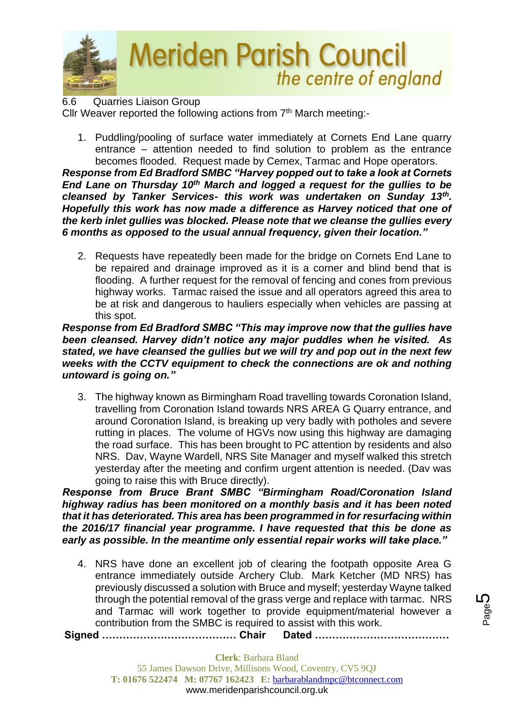

6.6 Quarries Liaison Group Cllr Weaver reported the following actions from 7<sup>th</sup> March meeting:-

1. Puddling/pooling of surface water immediately at Cornets End Lane quarry entrance – attention needed to find solution to problem as the entrance becomes flooded. Request made by Cemex, Tarmac and Hope operators.

*Response from Ed Bradford SMBC "Harvey popped out to take a look at Cornets End Lane on Thursday 10th March and logged a request for the gullies to be cleansed by Tanker Services- this work was undertaken on Sunday 13th . Hopefully this work has now made a difference as Harvey noticed that one of the kerb inlet gullies was blocked. Please note that we cleanse the gullies every 6 months as opposed to the usual annual frequency, given their location."*

2. Requests have repeatedly been made for the bridge on Cornets End Lane to be repaired and drainage improved as it is a corner and blind bend that is flooding. A further request for the removal of fencing and cones from previous highway works. Tarmac raised the issue and all operators agreed this area to be at risk and dangerous to hauliers especially when vehicles are passing at this spot.

## *Response from Ed Bradford SMBC "This may improve now that the gullies have been cleansed. Harvey didn't notice any major puddles when he visited. As stated, we have cleansed the gullies but we will try and pop out in the next few weeks with the CCTV equipment to check the connections are ok and nothing untoward is going on."*

3. The highway known as Birmingham Road travelling towards Coronation Island, travelling from Coronation Island towards NRS AREA G Quarry entrance, and around Coronation Island, is breaking up very badly with potholes and severe rutting in places. The volume of HGVs now using this highway are damaging the road surface. This has been brought to PC attention by residents and also NRS. Dav, Wayne Wardell, NRS Site Manager and myself walked this stretch yesterday after the meeting and confirm urgent attention is needed. (Dav was going to raise this with Bruce directly).

*Response from Bruce Brant SMBC "Birmingham Road/Coronation Island highway radius has been monitored on a monthly basis and it has been noted that it has deteriorated. This area has been programmed in for resurfacing within the 2016/17 financial year programme. I have requested that this be done as early as possible. In the meantime only essential repair works will take place."*

4. NRS have done an excellent job of clearing the footpath opposite Area G entrance immediately outside Archery Club. Mark Ketcher (MD NRS) has previously discussed a solution with Bruce and myself; yesterday Wayne talked through the potential removal of the grass verge and replace with tarmac. NRS and Tarmac will work together to provide equipment/material however a contribution from the SMBC is required to assist with this work.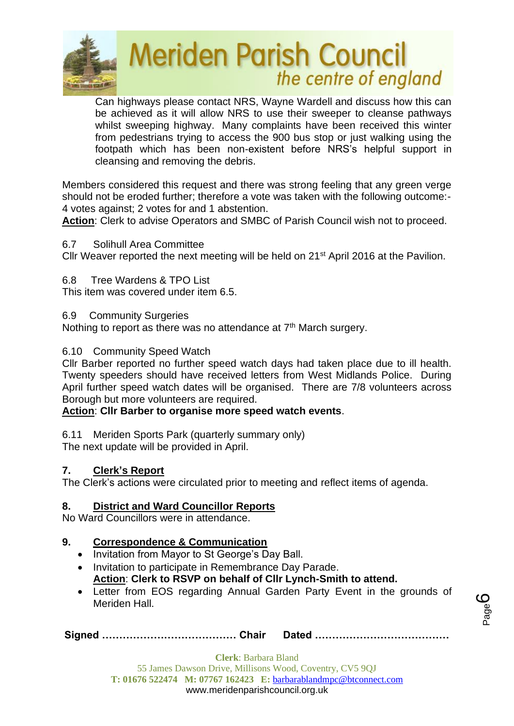

Can highways please contact NRS, Wayne Wardell and discuss how this can be achieved as it will allow NRS to use their sweeper to cleanse pathways whilst sweeping highway. Many complaints have been received this winter from pedestrians trying to access the 900 bus stop or just walking using the footpath which has been non-existent before NRS's helpful support in cleansing and removing the debris.

Members considered this request and there was strong feeling that any green verge should not be eroded further; therefore a vote was taken with the following outcome:- 4 votes against; 2 votes for and 1 abstention.

**Action**: Clerk to advise Operators and SMBC of Parish Council wish not to proceed.

# 6.7 Solihull Area Committee

Cllr Weaver reported the next meeting will be held on 21<sup>st</sup> April 2016 at the Pavilion.

6.8 Tree Wardens & TPO List

This item was covered under item 6.5.

6.9 Community Surgeries

Nothing to report as there was no attendance at 7<sup>th</sup> March surgery.

# 6.10 Community Speed Watch

Cllr Barber reported no further speed watch days had taken place due to ill health. Twenty speeders should have received letters from West Midlands Police. During April further speed watch dates will be organised. There are 7/8 volunteers across Borough but more volunteers are required.

# **Action**: **Cllr Barber to organise more speed watch events**.

6.11 Meriden Sports Park (quarterly summary only) The next update will be provided in April.

# **7. Clerk's Report**

The Clerk's actions were circulated prior to meeting and reflect items of agenda.

# **8. District and Ward Councillor Reports**

No Ward Councillors were in attendance.

# **9. Correspondence & Communication**

- Invitation from Mayor to St George's Day Ball.
- Invitation to participate in Remembrance Day Parade. **Action**: **Clerk to RSVP on behalf of Cllr Lynch-Smith to attend.**
- Letter from EOS regarding Annual Garden Party Event in the grounds of Meriden Hall.

**Signed ………………………………… Chair Dated …………………………………**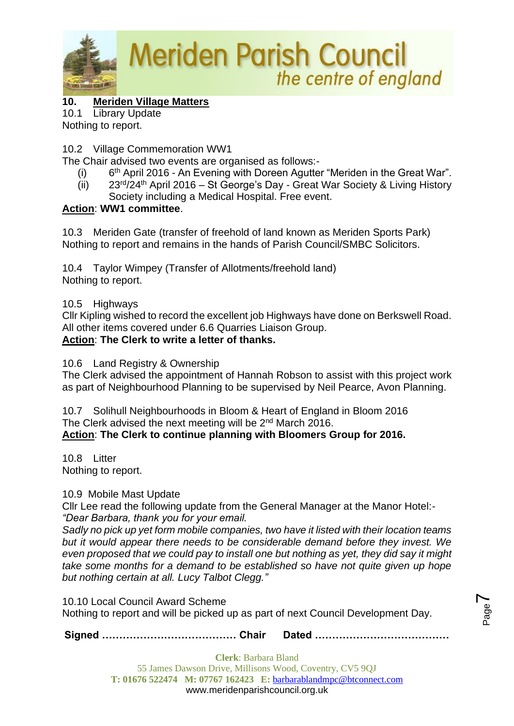

# **10. Meriden Village Matters**

10.1 Library Update

Nothing to report.

# 10.2 Village Commemoration WW1

The Chair advised two events are organised as follows:-

- $(i)$ 6<sup>th</sup> April 2016 - An Evening with Doreen Agutter "Meriden in the Great War".
- (ii)  $23^{rd}/24^{th}$  April 2016 St George's Day Great War Society & Living History Society including a Medical Hospital. Free event.

# **Action**: **WW1 committee**.

10.3 Meriden Gate (transfer of freehold of land known as Meriden Sports Park) Nothing to report and remains in the hands of Parish Council/SMBC Solicitors.

10.4 Taylor Wimpey (Transfer of Allotments/freehold land) Nothing to report.

10.5 Highways

Cllr Kipling wished to record the excellent job Highways have done on Berkswell Road. All other items covered under 6.6 Quarries Liaison Group. **Action**: **The Clerk to write a letter of thanks.**

10.6 Land Registry & Ownership

The Clerk advised the appointment of Hannah Robson to assist with this project work as part of Neighbourhood Planning to be supervised by Neil Pearce, Avon Planning.

10.7 Solihull Neighbourhoods in Bloom & Heart of England in Bloom 2016 The Clerk advised the next meeting will be 2<sup>nd</sup> March 2016.

**Action**: **The Clerk to continue planning with Bloomers Group for 2016.**

10.8 Litter Nothing to report.

10.9 Mobile Mast Update

Cllr Lee read the following update from the General Manager at the Manor Hotel:- *"Dear Barbara, thank you for your email.* 

*Sadly no pick up yet form mobile companies, two have it listed with their location teams but it would appear there needs to be considerable demand before they invest. We even proposed that we could pay to install one but nothing as yet, they did say it might take some months for a demand to be established so have not quite given up hope but nothing certain at all. Lucy Talbot Clegg."*

10.10 Local Council Award Scheme

Nothing to report and will be picked up as part of next Council Development Day.

**Signed ………………………………… Chair Dated …………………………………**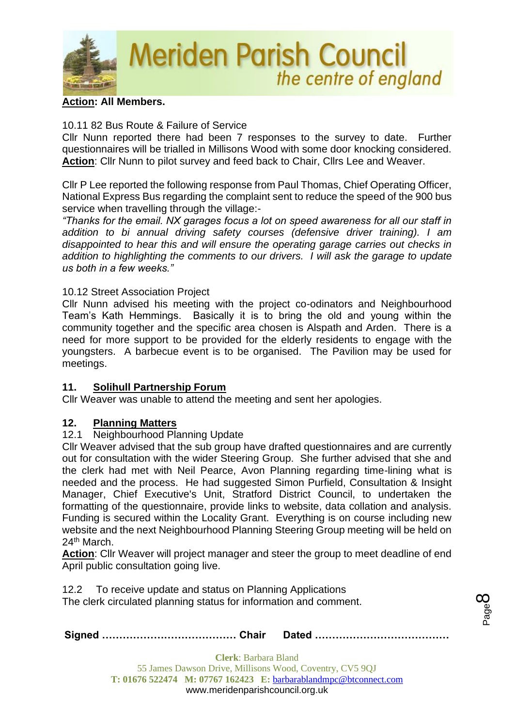

## **Action: All Members.**

## 10.11 82 Bus Route & Failure of Service

Cllr Nunn reported there had been 7 responses to the survey to date. Further questionnaires will be trialled in Millisons Wood with some door knocking considered. **Action**: Cllr Nunn to pilot survey and feed back to Chair, Cllrs Lee and Weaver.

Cllr P Lee reported the following response from Paul Thomas, Chief Operating Officer, National Express Bus regarding the complaint sent to reduce the speed of the 900 bus service when travelling through the village:-

*"Thanks for the email. NX garages focus a lot on speed awareness for all our staff in addition to bi annual driving safety courses (defensive driver training). I am disappointed to hear this and will ensure the operating garage carries out checks in addition to highlighting the comments to our drivers. I will ask the garage to update us both in a few weeks."*

## 10.12 Street Association Project

Cllr Nunn advised his meeting with the project co-odinators and Neighbourhood Team's Kath Hemmings. Basically it is to bring the old and young within the community together and the specific area chosen is Alspath and Arden. There is a need for more support to be provided for the elderly residents to engage with the youngsters. A barbecue event is to be organised. The Pavilion may be used for meetings.

## **11. Solihull Partnership Forum**

Cllr Weaver was unable to attend the meeting and sent her apologies.

## **12. Planning Matters**

#### 12.1 Neighbourhood Planning Update

Cllr Weaver advised that the sub group have drafted questionnaires and are currently out for consultation with the wider Steering Group. She further advised that she and the clerk had met with Neil Pearce, Avon Planning regarding time-lining what is needed and the process. He had suggested Simon Purfield, Consultation & Insight Manager, Chief Executive's Unit, Stratford District Council, to undertaken the formatting of the questionnaire, provide links to website, data collation and analysis. Funding is secured within the Locality Grant. Everything is on course including new website and the next Neighbourhood Planning Steering Group meeting will be held on 24<sup>th</sup> March.

**Action**: Cllr Weaver will project manager and steer the group to meet deadline of end April public consultation going live.

12.2 To receive update and status on Planning Applications The clerk circulated planning status for information and comment.

|--|--|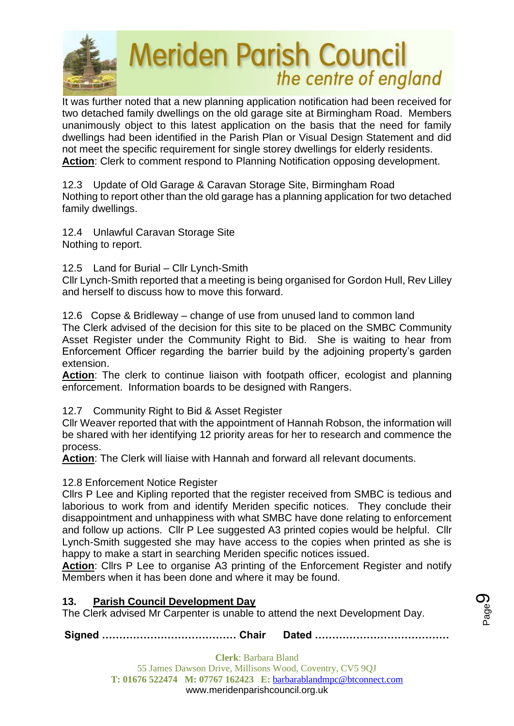

It was further noted that a new planning application notification had been received for two detached family dwellings on the old garage site at Birmingham Road. Members unanimously object to this latest application on the basis that the need for family dwellings had been identified in the Parish Plan or Visual Design Statement and did not meet the specific requirement for single storey dwellings for elderly residents. **Action**: Clerk to comment respond to Planning Notification opposing development.

12.3 Update of Old Garage & Caravan Storage Site, Birmingham Road Nothing to report other than the old garage has a planning application for two detached family dwellings.

12.4 Unlawful Caravan Storage Site Nothing to report.

12.5 Land for Burial – Cllr Lynch-Smith

Cllr Lynch-Smith reported that a meeting is being organised for Gordon Hull, Rev Lilley and herself to discuss how to move this forward.

12.6 Copse & Bridleway – change of use from unused land to common land

The Clerk advised of the decision for this site to be placed on the SMBC Community Asset Register under the Community Right to Bid. She is waiting to hear from Enforcement Officer regarding the barrier build by the adjoining property's garden extension.

**Action**: The clerk to continue liaison with footpath officer, ecologist and planning enforcement. Information boards to be designed with Rangers.

# 12.7 Community Right to Bid & Asset Register

Cllr Weaver reported that with the appointment of Hannah Robson, the information will be shared with her identifying 12 priority areas for her to research and commence the process.

**Action**: The Clerk will liaise with Hannah and forward all relevant documents.

12.8 Enforcement Notice Register

Cllrs P Lee and Kipling reported that the register received from SMBC is tedious and laborious to work from and identify Meriden specific notices. They conclude their disappointment and unhappiness with what SMBC have done relating to enforcement and follow up actions. Cllr P Lee suggested A3 printed copies would be helpful. Cllr Lynch-Smith suggested she may have access to the copies when printed as she is happy to make a start in searching Meriden specific notices issued.

**Action**: Cllrs P Lee to organise A3 printing of the Enforcement Register and notify Members when it has been done and where it may be found.

# **13. Parish Council Development Day**

The Clerk advised Mr Carpenter is unable to attend the next Development Day.